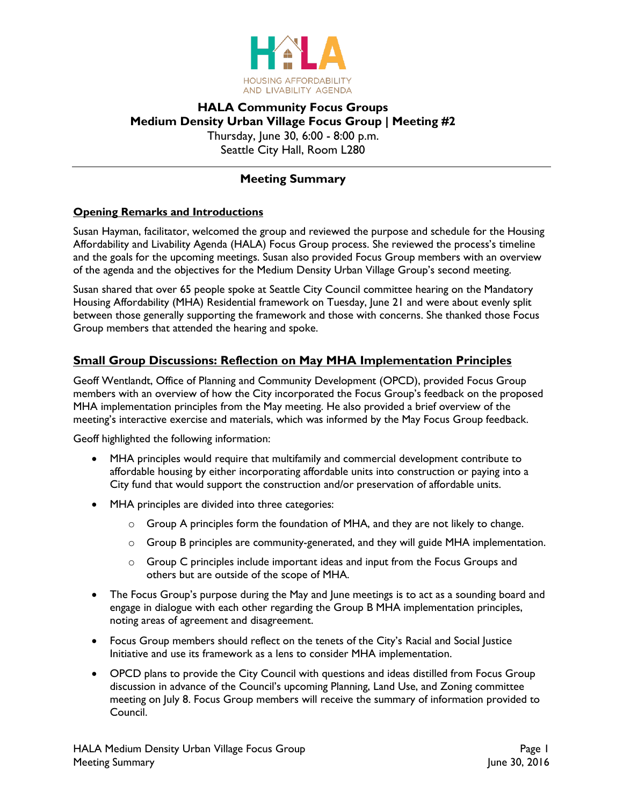

### **HALA Community Focus Groups Medium Density Urban Village Focus Group | Meeting #2** Thursday, June 30, 6:00 - 8:00 p.m. Seattle City Hall, Room L280

## **Meeting Summary**

### **Opening Remarks and Introductions**

Susan Hayman, facilitator, welcomed the group and reviewed the purpose and schedule for the Housing Affordability and Livability Agenda (HALA) Focus Group process. She reviewed the process's timeline and the goals for the upcoming meetings. Susan also provided Focus Group members with an overview of the agenda and the objectives for the Medium Density Urban Village Group's second meeting.

Susan shared that over 65 people spoke at Seattle City Council committee hearing on the Mandatory Housing Affordability (MHA) Residential framework on Tuesday, June 21 and were about evenly split between those generally supporting the framework and those with concerns. She thanked those Focus Group members that attended the hearing and spoke.

### **Small Group Discussions: Reflection on May MHA Implementation Principles**

Geoff Wentlandt, Office of Planning and Community Development (OPCD), provided Focus Group members with an overview of how the City incorporated the Focus Group's feedback on the proposed MHA implementation principles from the May meeting. He also provided a brief overview of the meeting's interactive exercise and materials, which was informed by the May Focus Group feedback.

Geoff highlighted the following information:

- MHA principles would require that multifamily and commercial development contribute to affordable housing by either incorporating affordable units into construction or paying into a City fund that would support the construction and/or preservation of affordable units.
- MHA principles are divided into three categories:
	- $\circ$  Group A principles form the foundation of MHA, and they are not likely to change.
	- o Group B principles are community-generated, and they will guide MHA implementation.
	- o Group C principles include important ideas and input from the Focus Groups and others but are outside of the scope of MHA.
- The Focus Group's purpose during the May and June meetings is to act as a sounding board and engage in dialogue with each other regarding the Group B MHA implementation principles, noting areas of agreement and disagreement.
- Focus Group members should reflect on the tenets of the City's Racial and Social Justice Initiative and use its framework as a lens to consider MHA implementation.
- OPCD plans to provide the City Council with questions and ideas distilled from Focus Group discussion in advance of the Council's upcoming Planning, Land Use, and Zoning committee meeting on July 8. Focus Group members will receive the summary of information provided to Council.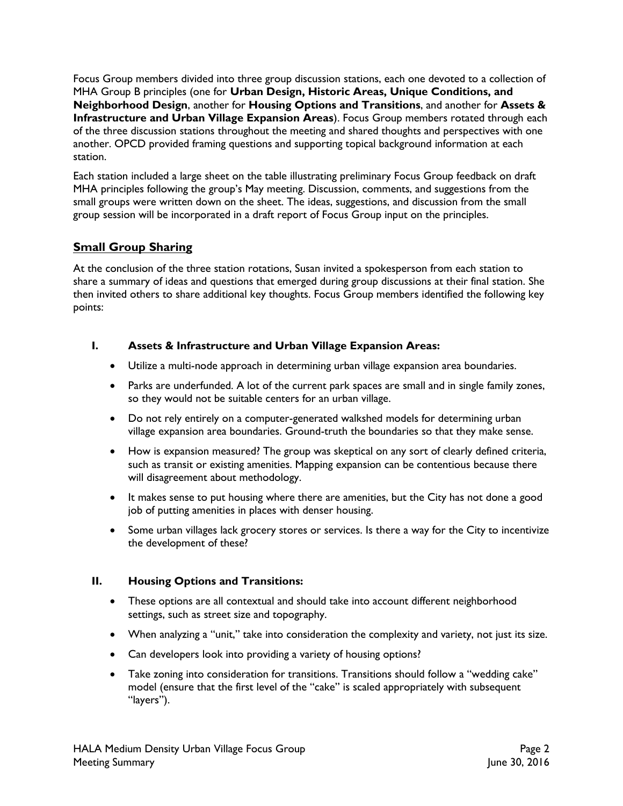Focus Group members divided into three group discussion stations, each one devoted to a collection of MHA Group B principles (one for **Urban Design, Historic Areas, Unique Conditions, and Neighborhood Design**, another for **Housing Options and Transitions**, and another for **Assets & Infrastructure and Urban Village Expansion Areas**). Focus Group members rotated through each of the three discussion stations throughout the meeting and shared thoughts and perspectives with one another. OPCD provided framing questions and supporting topical background information at each station.

Each station included a large sheet on the table illustrating preliminary Focus Group feedback on draft MHA principles following the group's May meeting. Discussion, comments, and suggestions from the small groups were written down on the sheet. The ideas, suggestions, and discussion from the small group session will be incorporated in a draft report of Focus Group input on the principles.

# **Small Group Sharing**

At the conclusion of the three station rotations, Susan invited a spokesperson from each station to share a summary of ideas and questions that emerged during group discussions at their final station. She then invited others to share additional key thoughts. Focus Group members identified the following key points:

### **I. Assets & Infrastructure and Urban Village Expansion Areas:**

- Utilize a multi-node approach in determining urban village expansion area boundaries.
- Parks are underfunded. A lot of the current park spaces are small and in single family zones, so they would not be suitable centers for an urban village.
- Do not rely entirely on a computer-generated walkshed models for determining urban village expansion area boundaries. Ground-truth the boundaries so that they make sense.
- How is expansion measured? The group was skeptical on any sort of clearly defined criteria, such as transit or existing amenities. Mapping expansion can be contentious because there will disagreement about methodology.
- It makes sense to put housing where there are amenities, but the City has not done a good job of putting amenities in places with denser housing.
- Some urban villages lack grocery stores or services. Is there a way for the City to incentivize the development of these?

#### **II. Housing Options and Transitions:**

- These options are all contextual and should take into account different neighborhood settings, such as street size and topography.
- When analyzing a "unit," take into consideration the complexity and variety, not just its size.
- Can developers look into providing a variety of housing options?
- Take zoning into consideration for transitions. Transitions should follow a "wedding cake" model (ensure that the first level of the "cake" is scaled appropriately with subsequent "layers").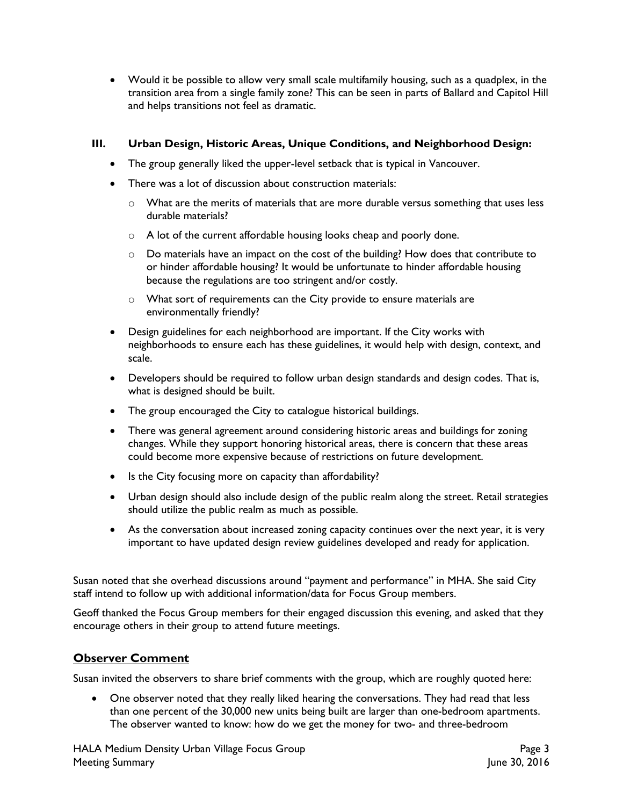Would it be possible to allow very small scale multifamily housing, such as a quadplex, in the transition area from a single family zone? This can be seen in parts of Ballard and Capitol Hill and helps transitions not feel as dramatic.

#### **III. Urban Design, Historic Areas, Unique Conditions, and Neighborhood Design:**

- The group generally liked the upper-level setback that is typical in Vancouver.
- There was a lot of discussion about construction materials:
	- $\circ$  What are the merits of materials that are more durable versus something that uses less durable materials?
	- o A lot of the current affordable housing looks cheap and poorly done.
	- $\circ$  Do materials have an impact on the cost of the building? How does that contribute to or hinder affordable housing? It would be unfortunate to hinder affordable housing because the regulations are too stringent and/or costly.
	- o What sort of requirements can the City provide to ensure materials are environmentally friendly?
- Design guidelines for each neighborhood are important. If the City works with neighborhoods to ensure each has these guidelines, it would help with design, context, and scale.
- Developers should be required to follow urban design standards and design codes. That is, what is designed should be built.
- The group encouraged the City to catalogue historical buildings.
- There was general agreement around considering historic areas and buildings for zoning changes. While they support honoring historical areas, there is concern that these areas could become more expensive because of restrictions on future development.
- Is the City focusing more on capacity than affordability?
- Urban design should also include design of the public realm along the street. Retail strategies should utilize the public realm as much as possible.
- As the conversation about increased zoning capacity continues over the next year, it is very important to have updated design review guidelines developed and ready for application.

Susan noted that she overhead discussions around "payment and performance" in MHA. She said City staff intend to follow up with additional information/data for Focus Group members.

Geoff thanked the Focus Group members for their engaged discussion this evening, and asked that they encourage others in their group to attend future meetings.

### **Observer Comment**

Susan invited the observers to share brief comments with the group, which are roughly quoted here:

• One observer noted that they really liked hearing the conversations. They had read that less than one percent of the 30,000 new units being built are larger than one-bedroom apartments. The observer wanted to know: how do we get the money for two- and three-bedroom

HALA Medium Density Urban Village Focus Group Page 3 Meeting Summary June 30, 2016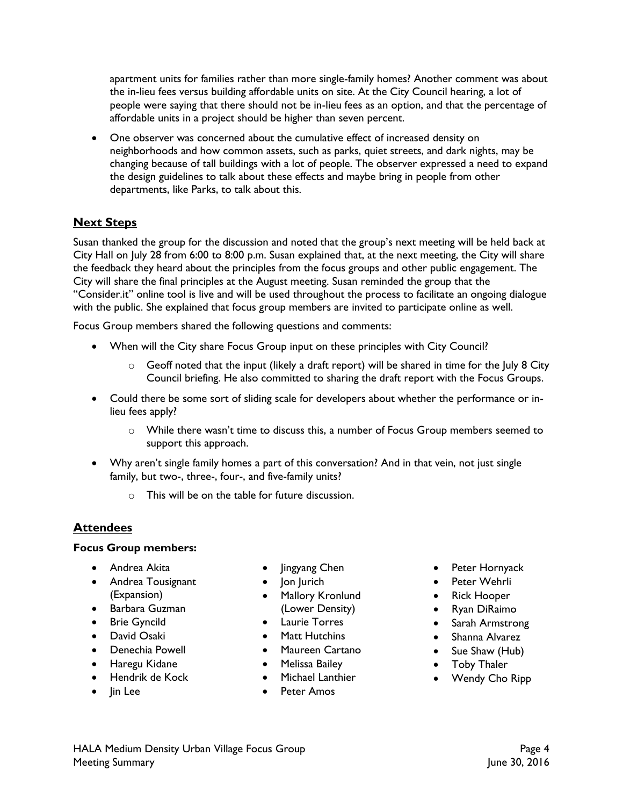apartment units for families rather than more single-family homes? Another comment was about the in-lieu fees versus building affordable units on site. At the City Council hearing, a lot of people were saying that there should not be in-lieu fees as an option, and that the percentage of affordable units in a project should be higher than seven percent.

 One observer was concerned about the cumulative effect of increased density on neighborhoods and how common assets, such as parks, quiet streets, and dark nights, may be changing because of tall buildings with a lot of people. The observer expressed a need to expand the design guidelines to talk about these effects and maybe bring in people from other departments, like Parks, to talk about this.

# **Next Steps**

Susan thanked the group for the discussion and noted that the group's next meeting will be held back at City Hall on July 28 from 6:00 to 8:00 p.m. Susan explained that, at the next meeting, the City will share the feedback they heard about the principles from the focus groups and other public engagement. The City will share the final principles at the August meeting. Susan reminded the group that the "Consider.it" online tool is live and will be used throughout the process to facilitate an ongoing dialogue with the public. She explained that focus group members are invited to participate online as well.

Focus Group members shared the following questions and comments:

- When will the City share Focus Group input on these principles with City Council?
	- $\circ$  Geoff noted that the input (likely a draft report) will be shared in time for the July 8 City Council briefing. He also committed to sharing the draft report with the Focus Groups.
- Could there be some sort of sliding scale for developers about whether the performance or inlieu fees apply?
	- o While there wasn't time to discuss this, a number of Focus Group members seemed to support this approach.
- Why aren't single family homes a part of this conversation? And in that vein, not just single family, but two-, three-, four-, and five-family units?
	- o This will be on the table for future discussion.

# **Attendees**

#### **Focus Group members:**

- Andrea Akita
- **•** Andrea Tousignant (Expansion)
- Barbara Guzman
- **•** Brie Gyncild
- David Osaki
- Denechia Powell
- Haregu Kidane
- Hendrik de Kock
- lin Lee
- Jingyang Chen
- Jon Jurich
- Mallory Kronlund (Lower Density)
- Laurie Torres
- Matt Hutchins
- Maureen Cartano
- Melissa Bailey
- Michael Lanthier
- Peter Amos
- Peter Hornyack
- Peter Wehrli
- Rick Hooper
- Ryan DiRaimo
- Sarah Armstrong
- Shanna Alvarez
- Sue Shaw (Hub)
- Toby Thaler
- Wendy Cho Ripp